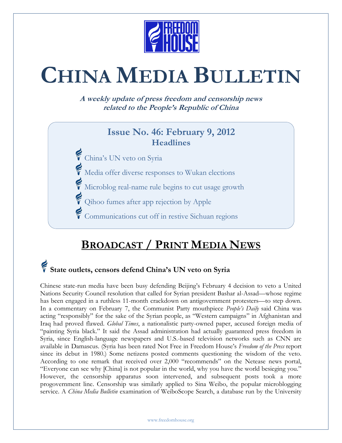

# **CHINA MEDIA BULLETIN**

**A weekly update of press freedom and censorship news related to the People's Republic of China**

#### **Issue No. 46: February 9, 2012 Headlines**

- China's UN veto on Syria
- Media offer diverse responses to Wukan elections
- Microblog real-name rule begins to cut usage growth
- Qihoo fumes after app rejection by Apple
	- Communications cut off in restive Sichuan regions

### **BROADCAST / PRINT MEDIA NEWS**

## **State outlets, censors defend China's UN veto on Syria**

Chinese state-run media have been busy defending Beijing's February 4 decision to veto a United Nations Security Council resolution that called for Syrian president Bashar al-Assad—whose regime has been engaged in a ruthless 11-month crackdown on antigovernment protesters—to step down. In a commentary on February 7, the Communist Party mouthpiece *People's Daily* said China was acting "responsibly" for the sake of the Syrian people, as "Western campaigns" in Afghanistan and Iraq had proved flawed. *Global Times*, a nationalistic party-owned paper, accused foreign media of "painting Syria black." It said the Assad administration had actually guaranteed press freedom in Syria, since English-language newspapers and U.S.-based television networks such as CNN are available in Damascus. (Syria has been rated Not Free in Freedom House's *Freedom of the Press* report since its debut in 1980.) Some netizens posted comments questioning the wisdom of the veto. According to one remark that received over 2,000 "recommends" on the Netease news portal, "Everyone can see why [China] is not popular in the world, why you have the world besieging you." However, the censorship apparatus soon intervened, and subsequent posts took a more progovernment line. Censorship was similarly applied to Sina Weibo, the popular microblogging service. A *China Media Bulletin* examination of WeiboScope Search, a database run by the University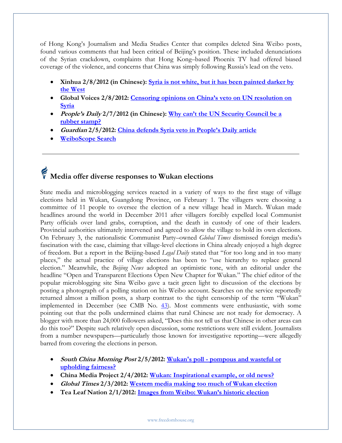of Hong Kong's Journalism and Media Studies Center that compiles deleted Sina Weibo posts, found various comments that had been critical of Beijing's position. These included denunciations of the Syrian crackdown, complaints that Hong Kong–based Phoenix TV had offered biased coverage of the violence, and concerns that China was simply following Russia's lead on the veto.

- **Xinhua 2/8/2012 (in Chinese): [Syria is not white, but it has been painted darker by](http://news.xinhuanet.com/world/2012-02/08/c_122673497.htm)  [the West](http://news.xinhuanet.com/world/2012-02/08/c_122673497.htm)**
- **Global Voices 2/8/2012: [Censoring opinions on China's veto on UN resolution on](http://advocacy.globalvoicesonline.org/2012/02/08/china-censoring-chinas-veto-on-un-resolution-on-syria)  [Syria](http://advocacy.globalvoicesonline.org/2012/02/08/china-censoring-chinas-veto-on-un-resolution-on-syria)**
- **People's Daily 2/7/2012 (in Chinese): [Why can't the UN Security Council be a](http://paper.people.com.cn/rmrb/html/2012-02/07/nw.D110000renmrb_20120207_1-03.htm)  [rubber stamp?](http://paper.people.com.cn/rmrb/html/2012-02/07/nw.D110000renmrb_20120207_1-03.htm)**
- **Guardian 2/5/2012: China defends Syria ve[to in People's Daily article](http://www.guardian.co.uk/world/2012/feb/06/china-syria-veto-peoples-daily)**
- **[WeiboScope Search](http://research.jmsc.hku.hk/social/search.py/sinaweibo/#lastdeleted)**

## **Media offer diverse responses to Wukan elections**

State media and microblogging services reacted in a variety of ways to the first stage of village elections held in Wukan, Guangdong Province, on February 1. The villagers were choosing a committee of 11 people to oversee the election of a new village head in March. Wukan made headlines around the world in December 2011 after villagers forcibly expelled local Communist Party officials over land grabs, corruption, and the death in custody of one of their leaders. Provincial authorities ultimately intervened and agreed to allow the village to hold its own elections. On February 3, the nationalistic Communist Party–owned *Global Times* dismissed foreign media's fascination with the case, claiming that village-level elections in China already enjoyed a high degree of freedom. But a report in the Beijing-based *Legal Daily* stated that "for too long and in too many places," the actual practice of village elections has been to "use hierarchy to replace general election." Meanwhile, the *Beijing News* adopted an optimistic tone, with an editorial under the headline "Open and Transparent Elections Open New Chapter for Wukan." The chief editor of the popular microblogging site Sina Weibo gave a tacit green light to discussion of the elections by posting a photograph of a polling station on his Weibo account. Searches on the service reportedly returned almost a million posts, a sharp contrast to the tight censorship of the term "Wukan" implemented in December (see CMB No. [43\)](http://www.freedomhouse.org/article/china-media-bulletin-issue-no-43#Censors). Most comments were enthusiastic, with some pointing out that the polls undermined claims that rural Chinese are not ready for democracy. A blogger with more than 24,000 followers asked, "Does this not tell us that Chinese in other areas can do this too?" Despite such relatively open discussion, some restrictions were still evident. Journalists from a number newspapers—particularly those known for investigative reporting—were allegedly barred from covering the elections in person.

- **South China Morning Post 2/5/2012: Wukan's poll - [pompous and wasteful or](http://www.scmp.com/portal/site/SCMP/menuitem.2af62ecb329d3d7733492d9253a0a0a0/?vgnextoid=da7bbda275845310VgnVCM100000360a0a0aRCRD&ss=China&s=News)  [upholding fairness?](http://www.scmp.com/portal/site/SCMP/menuitem.2af62ecb329d3d7733492d9253a0a0a0/?vgnextoid=da7bbda275845310VgnVCM100000360a0a0aRCRD&ss=China&s=News)**
- **China Media Project 2/4/2012: [Wukan: Inspirational example, or old news?](http://cmp.hku.hk/2012/02/04/18627/)**
- **Global Times 2/3/2012: [Western media making too much of Wukan election](http://www.globaltimes.cn/NEWS/tabid/99/ID/694408/Western-media-making-too-much-of-Wukan-election.aspx)**
- **Tea Leaf Nation 2/1/2012: [Images from Weibo: Wukan's historic election](http://tealeafnation.com/2012/02/images-from-weibo-wukans-historic-election)**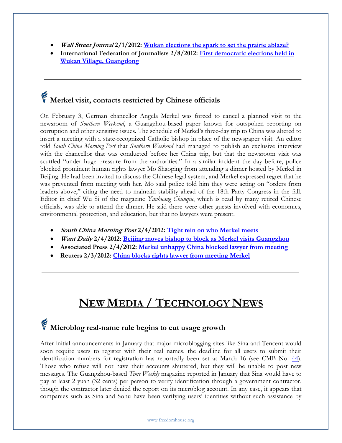- **Wall Street Journal 2/1/2012: [Wukan elections the spark to set the prairie ablaze?](http://blogs.wsj.com/chinarealtime/2012/02/01/china-wukan-elections-the-spark-to-set-the-prairie-ablaze)**
- **International Federation of Journalists 2/8/2012: [First democratic elections held in](http://asiapacific.ifj.org/assets/docs/231/125/a6b3be7-439fd7d.pdf)  [Wukan Village, Guangdong](http://asiapacific.ifj.org/assets/docs/231/125/a6b3be7-439fd7d.pdf)**

## **Merkel visit, contacts restricted by Chinese officials**

On February 3, German chancellor Angela Merkel was forced to cancel a planned visit to the newsroom of *Southern Weekend*, a Guangzhou-based paper known for outspoken reporting on corruption and other sensitive issues. The schedule of Merkel's three-day trip to China was altered to insert a meeting with a state-recognized Catholic bishop in place of the newspaper visit. An editor told *South China Morning Post* that *Southern Weekend* had managed to publish an exclusive interview with the chancellor that was conducted before her China trip, but that the newsroom visit was scuttled "under huge pressure from the authorities." In a similar incident the day before, police blocked prominent human rights lawyer Mo Shaoping from attending a dinner hosted by Merkel in Beijing. He had been invited to discuss the Chinese legal system, and Merkel expressed regret that he was prevented from meeting with her. Mo said police told him they were acting on "orders from leaders above," citing the need to maintain stability ahead of the 18th Party Congress in the fall. Editor in chief Wu Si of the magazine *Yanhuang Chunqiu*, which is read by many retired Chinese officials, was able to attend the dinner. He said there were other guests involved with economics, environmental protection, and education, but that no lawyers were present.

- **South China Morning Post 2/4/2012: [Tight rein on who Merkel meets](http://topics.scmp.com/news/china-news-watch/article/Tight-rein-on-who-Merkel-meets)**
- **Want Daily 2/4/2012: [Beijing moves bishop to block as Merkel visits Guangzhou](http://www.wantchinatimes.com/news-subclass-cnt.aspx?id=20120204000057&cid=1101)**
- **Associated Press 2/4/2012: [Merkel unhappy China blocked lawyer from meeting](http://abcnews.go.com/International/wireStory/merkel-unhappy-china-blocked-lawyer-meeting-15512364#.TzGIAFadcct)**
- **Reuters 2/3/2012: [China blocks rights lawyer from meeting Merkel](http://www.chicagotribune.com/news/sns-rt-us-china-lawyertre8120ad-20120202,0,5953358.story)**

### **NEW MEDIA / TECHNOLOGY NEWS**

## **Microblog real-name rule begins to cut usage growth**

After initial announcements in January that major microblogging sites like Sina and Tencent would soon require users to register with their real names, the deadline for all users to submit their identification numbers for registration has reportedly been set at March 16 (see CMB No. [44\)](http://www.freedomhouse.org/article/china-media-bulletin-issue-no-44#Microblog). Those who refuse will not have their accounts shuttered, but they will be unable to post new messages. The Guangzhou-based *Time Weekly* magazine reported in January that Sina would have to pay at least 2 yuan (32 cents) per person to verify identification through a government contractor, though the contractor later denied the report on its microblog account. In any case, it appears that companies such as Sina and Sohu have been verifying users' identities without such assistance by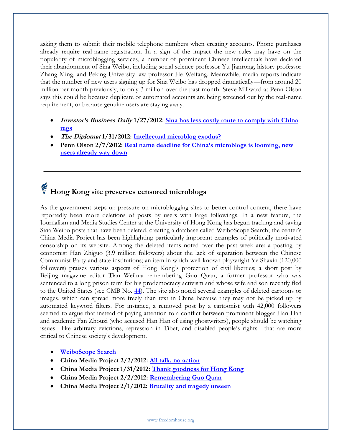asking them to submit their mobile telephone numbers when creating accounts. Phone purchases already require real-name registration. In a sign of the impact the new rules may have on the popularity of microblogging services, a number of prominent Chinese intellectuals have declared their abandonment of Sina Weibo, including social science professor Yu Jianrong, history professor Zhang Ming, and Peking University law professor He Weifang. Meanwhile, media reports indicate that the number of new users signing up for Sina Weibo has dropped dramatically—from around 20 million per month previously, to only 3 million over the past month. Steve Millward at Penn Olson says this could be because duplicate or automated accounts are being screened out by the real-name requirement, or because genuine users are staying away.

- **Investor's Business Daily 1/27/2012: [Sina has less costly route to comply with China](http://news.investors.com/Article/599224/201201271802/sina-weibo-deals-with-china-regulations.htm)  [regs](http://news.investors.com/Article/599224/201201271802/sina-weibo-deals-with-china-regulations.htm)**
- **The Diplomat 1/31/2012: [Intellectual microblog exodus?](http://the-diplomat.com/china-power/2012/01/31/intellectual-microblog-exodus)**
- **Penn Olson 2/7/2012: [Real name deadline for China's microblogs is looming, new](http://www.penn-olson.com/2012/02/07/real-name-deadline-weibo)  [users already way down](http://www.penn-olson.com/2012/02/07/real-name-deadline-weibo)**

## **Hong Kong site preserves censored microblogs**

As the government steps up pressure on microblogging sites to better control content, there have reportedly been more deletions of posts by users with large followings. In a new feature, the Journalism and Media Studies Center at the University of Hong Kong has begun tracking and saving Sina Weibo posts that have been deleted, creating a database called WeiboScope Search; the center's China Media Project has been highlighting particularly important examples of politically motivated censorship on its website. Among the deleted items noted over the past week are: a posting by economist Han Zhiguo (3.9 million followers) about the lack of separation between the Chinese Communist Party and state institutions; an item in which well-known playwright Ye Shaxin (120,000 followers) praises various aspects of Hong Kong's protection of civil liberties; a short post by Beijing magazine editor Tian Weihua remembering Guo Quan, a former professor who was sentenced to a long prison term for his prodemocracy activism and whose wife and son recently fled to the United States (see CMB No. [44\)](http://www.freedomhouse.org/article/china-media-bulletin-issue-no-44). The site also noted several examples of deleted cartoons or images, which can spread more freely than text in China because they may not be picked up by automated keyword filters. For instance, a removed post by a cartoonist with 42,000 followers seemed to argue that instead of paying attention to a conflict between prominent blogger Han Han and academic Fan Zhouzi (who accused Han Han of using ghostwriters), people should be watching issues—like arbitrary evictions, repression in Tibet, and disabled people's rights—that are more critical to Chinese society's development.

- **[WeiboScope Search](http://research.jmsc.hku.hk/social/search.py/sinaweibo/#lastdeleted)**
- **China Media Project 2/2/2012: [All talk, no action](http://cmp.hku.hk/2012/02/02/18483)**
- **China Media Project 1/31/2012: [Thank goodness for Hong Kong](http://cmp.hku.hk/2012/01/31/18311/)**
- **China Media Project 2/2/2012: [Remembering Guo Quan](http://cmp.hku.hk/2012/02/02/18527)**
- **China Media Project 2/1/2012: [Brutality and tragedy unseen](http://cmp.hku.hk/2012/02/01/18380)**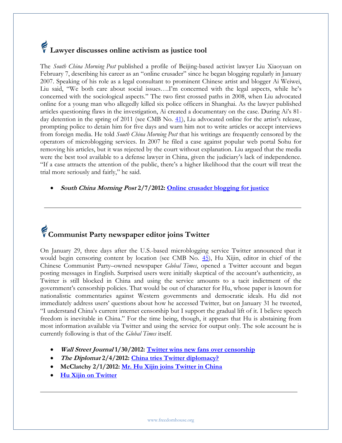## **Lawyer discusses online activism as justice tool**

The *South China Morning Post* published a profile of Beijing-based activist lawyer Liu Xiaoyuan on February 7, describing his career as an "online crusader" since he began blogging regularly in January 2007. Speaking of his role as a legal consultant to prominent Chinese artist and blogger Ai Weiwei, Liu said, "We both care about social issues….I'm concerned with the legal aspects, while he's concerned with the sociological aspects." The two first crossed paths in 2008, when Liu advocated online for a young man who allegedly killed six police officers in Shanghai. As the lawyer published articles questioning flaws in the investigation, Ai created a documentary on the case. During Ai's 81 day detention in the spring of 2011 (see CMB No. [41](http://www.freedomhouse.org/article/china-media-bulletin-issue-no-41)), Liu advocated online for the artist's release, prompting police to detain him for five days and warn him not to write articles or accept interviews from foreign media. He told *South China Morning Post* that his writings are frequently censored by the operators of microblogging services. In 2007 he filed a case against popular web portal Sohu for removing his articles, but it was rejected by the court without explanation. Liu argued that the media were the best tool available to a defense lawyer in China, given the judiciary's lack of independence. "If a case attracts the attention of the public, there's a higher likelihood that the court will treat the trial more seriously and fairly," he said.

**South China Morning Post 2/7/2012: [Online crusader blogging for justice](http://www.scmp.com/portal/site/SCMP/menuitem.2af62ecb329d3d7733492d9253a0a0a0/?vgnextoid=2ebe8837e7255310VgnVCM100000360a0a0aRCRD&ss=China&s=News)**

# **Communist Party newspaper editor joins Twitter**

On January 29, three days after the U.S.-based microblogging service Twitter announced that it would begin censoring content by location (see CMB No. [45\)](http://www.freedomhouse.org/article/china-media-bulletin-issue-no-45#Twitter%20unveils), Hu Xijin, editor in chief of the Chinese Communist Party–owned newspaper *Global Times*, opened a Twitter account and began posting messages in English. Surprised users were initially skeptical of the account's authenticity, as Twitter is still blocked in China and using the service amounts to a tacit indictment of the government's censorship policies. That would be out of character for Hu, whose paper is known for nationalistic commentaries against Western governments and democratic ideals. Hu did not immediately address users' questions about how he accessed Twitter, but on January 31 he tweeted, "I understand China's current internet censorship but I support the gradual lift of it. I believe speech freedom is inevitable in China." For the time being, though, it appears that Hu is abstaining from most information available via Twitter and using the service for output only. The sole account he is currently following is that of the *Global Times* itself.

- **Wall Street Journal 1/30/2012: [Twitter wins new fans over censorship](http://blogs.wsj.com/chinarealtime/2012/01/30/in-chinatwitter-wins-new-fans-over-censorship)**
- **The Diplomat 2/4/2012: [China tries Twitter diplomacy?](http://the-diplomat.com/china-power/2012/02/04/china-tries-twitter-diplomacy/#more-3281)**
- **McClatchy 2/1/2012: [Mr. Hu Xijin joins Twitter in China](http://blogs.mcclatchydc.com/china/2012/02/mr-hu-xijin-joins-twitter-in-china.html)**
- **[Hu Xijin on Twitter](http://twitter.com/huxijingt)**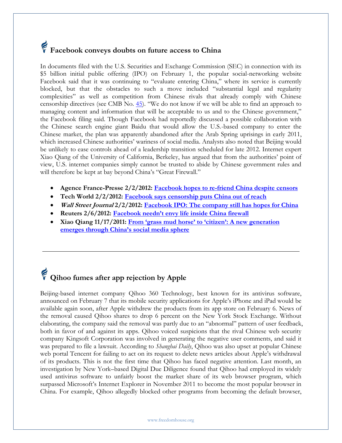## **Facebook conveys doubts on future access to China**

In documents filed with the U.S. Securities and Exchange Commission (SEC) in connection with its \$5 billion initial public offering (IPO) on February 1, the popular social-networking website Facebook said that it was continuing to "evaluate entering China," where its service is currently blocked, but that the obstacles to such a move included "substantial legal and regularity complexities" as well as competition from Chinese rivals that already comply with Chinese censorship directives (see CMB No. [45](http://www.freedomhouse.org/article/china-media-bulletin-issue-no-45)). "We do not know if we will be able to find an approach to managing content and information that will be acceptable to us and to the Chinese government," the Facebook filing said. Though Facebook had reportedly discussed a possible collaboration with the Chinese search engine giant Baidu that would allow the U.S.-based company to enter the Chinese market, the plan was apparently abandoned after the Arab Spring uprisings in early 2011, which increased Chinese authorities' wariness of social media. Analysts also noted that Beijing would be unlikely to ease controls ahead of a leadership transition scheduled for late 2012. Internet expert Xiao Qiang of the University of California, Berkeley, has argued that from the authorities' point of view, U.S. internet companies simply cannot be trusted to abide by Chinese government rules and will therefore be kept at bay beyond China's "Great Firewall."

- **Agence France-Presse 2/2/2012: [Facebook hopes to re-friend China despite censors](http://www.google.com/hostednews/afp/article/ALeqM5iDe68JWCVOUN0L95ppA-_icGk_WQ?docId=CNG.993f2e6b233ba7693aabcc9412b44435.971)**
- **Tech World 2/2/2012: [Facebook says censorship puts China out of reach](http://news.techworld.com/security/3334633/facebook-says-censorship-puts-china-out-of-reach/)**
- **Wall Street Journal 2/2/2012: [Facebook IPO: The company still has hopes for China](http://blogs.wsj.com/chinarealtime/2012/02/02/facebook-ipo-the-company-has-high-hopes-for-china)**
- **Reuters 2/6/2012: [Facebook needn't envy life inside China firewall](http://blogs.reuters.com/breakingviews/2012/02/06/facebook-neednt-envy-life-inside-china-firewall/)**
- **Xiao Qiang 11/17/2011: [From 'grass mud horse' to 'citizen': A new generation](http://www.cecc.gov/pages/hearings/general/hearing1/statement4.pdf)  [emerges through China's social media sphere](http://www.cecc.gov/pages/hearings/general/hearing1/statement4.pdf)**

## **Qihoo fumes after app rejection by Apple**

Beijing-based internet company Qihoo 360 Technology, best known for its antivirus software, announced on February 7 that its mobile security applications for Apple's iPhone and iPad would be available again soon, after Apple withdrew the products from its app store on February 6. News of the removal caused Qihoo shares to drop 6 percent on the New York Stock Exchange. Without elaborating, the company said the removal was partly due to an "abnormal" pattern of user feedback, both in favor of and against its apps. Qihoo voiced suspicions that the rival Chinese web security company Kingsoft Corporation was involved in generating the negative user comments, and said it was prepared to file a lawsuit. According to *Shanghai Daily*, Qihoo was also upset at popular Chinese web portal Tencent for failing to act on its request to delete news articles about Apple's withdrawal of its products. This is not the first time that Qihoo has faced negative attention. Last month, an investigation by New York–based Digital Due Diligence found that Qihoo had employed its widely used antivirus software to unfairly boost the market share of its web browser program, which surpassed Microsoft's Internet Explorer in November 2011 to become the most popular browser in China. For example, Qihoo allegedly blocked other programs from becoming the default browser,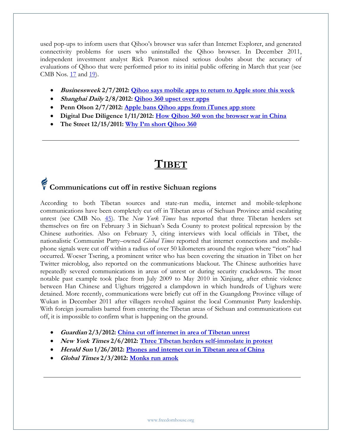used pop-ups to inform users that Qihoo's browser was safer than Internet Explorer, and generated connectivity problems for users who uninstalled the Qihoo browser. In December 2011, independent investment analyst Rick Pearson raised serious doubts about the accuracy of evaluations of Qihoo that were performed prior to its initial public offering in March that year (see CMB Nos. [17](http://www.freedomhouse.org/article/china-media-bulletin-issue-no-17) and [19\)](http://www.freedomhouse.org/article/china-media-bulletin-issue-no-19#tencent).

- **Businessweek 2/7/2012: [Qihoo says mobile apps to return to Apple store this week](http://www.businessweek.com/news/2012-02-07/qihoo-says-mobile-apps-to-return-to-apple-store-this-week.html)**
- **Shanghai Daily 2/8/2012: [Qihoo 360 upset over apps](http://www.shanghaidaily.com/article/?id=493883&type=Business)**
- **Penn Olson 2/7/2012: [Apple bans Qihoo apps from iTunes app store](http://www.penn-olson.com/2012/02/06/apple-bans-qihoo-apps)**
- **Digital Due Diligence 1/11/2012: [How Qihoo 360 won the browser war in China](http://www.digital-dd.com/qihoo-browser-war/)**
- **The Street 12/15/2011: [Why I'm short Qihoo 360](http://www.thestreet.com/story/11346714/1/why-im-short-qihoo-360.html)**

### **TIBET**

## **Communications cut off in restive Sichuan regions**

According to both Tibetan sources and state-run media, internet and mobile-telephone communications have been completely cut off in Tibetan areas of Sichuan Province amid escalating unrest (see CMB No. [45\)](http://www.freedomhouse.org/article/china-media-bulletin-issue-no-45). The *New York Times* has reported that three Tibetan herders set themselves on fire on February 3 in Sichuan's Seda County to protest political repression by the Chinese authorities. Also on February 3, citing interviews with local officials in Tibet, the nationalistic Communist Party–owned *Global Times* reported that internet connections and mobilephone signals were cut off within a radius of over 50 kilometers around the region where "riots" had occurred. Woeser Tsering, a prominent writer who has been covering the situation in Tibet on her Twitter microblog, also reported on the communications blackout. The Chinese authorities have repeatedly severed communications in areas of unrest or during security crackdowns. The most notable past example took place from July 2009 to May 2010 in Xinjiang, after ethnic violence between Han Chinese and Uighurs triggered a clampdown in which hundreds of Uighurs were detained. More recently, communications were briefly cut off in the Guangdong Province village of Wukan in December 2011 after villagers revolted against the local Communist Party leadership. With foreign journalists barred from entering the Tibetan areas of Sichuan and communications cut off, it is impossible to confirm what is happening on the ground.

- **Guardian 2/3/2012: [China cut off internet in area of Tibetan unrest](http://www.guardian.co.uk/world/2012/feb/03/china-internet-links-tibetan-unrest)**
- **New York Times 2/6/2012: [Three Tibetan herders self-immolate in protest](http://www.nytimes.com/2012/02/07/world/asia/three-tibetan-herders-self-immolate-in-protest.html)**
- **Herald Sun 1/26/2012: [Phones and internet cut in Tibetan area of China](http://www.heraldsun.com.au/news/world/phones-and-internet-cut-in-tibetan-china/story-e6frf7lf-1226254568665)**
- **Global Times 2/3/2012: [Monks run amok](http://www.globaltimes.cn/NEWS/tabid/99/ID/694406/Monks-run-amok.aspx)**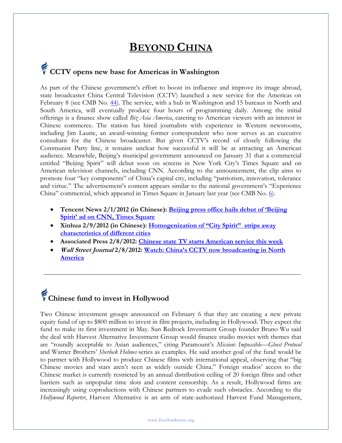#### **BEYOND CHINA**

## **CCTV opens new base for Americas in Washington**

As part of the Chinese government's effort to boost its influence and improve its image abroad, state broadcaster China Central Television (CCTV) launched a new service for the Americas on February 8 (see CMB No. [44\)](http://www.freedomhouse.org/article/china-media-bulletin-issue-no-44). The service, with a hub in Washington and 15 bureaus in North and South America, will eventually produce four hours of programming daily. Among the initial offerings is a finance show called *Biz Asia America*, catering to American viewers with an interest in Chinese commerce. The station has hired journalists with experience in Western newsrooms, including Jim Laurie, an award-winning former correspondent who now serves as an executive consultant for the Chinese broadcaster. But given CCTV's record of closely following the Communist Party line, it remains unclear how successful it will be at attracting an American audience. Meanwhile, Beijing's municipal government announced on January 31 that a commercial entitled "Beijing Spirit" will debut soon on screens in New York City's Times Square and on American television channels, including CNN. According to the announcement, the clip aims to promote four "key components" of China's capital city, including "patriotism, innovation, tolerance and virtue." The advertisement's content appears similar to the national government's "Experience China" commercial, which appeared in Times Square in January last year (see CMB No.  $\underline{6}$ ).

- **Tencent News 2/1/2012 (in Chinese): [Beijing press office hails debut of 'Beijing](http://news.qq.com/a/20120201/000297.htm)  [Spirit' ad on CNN, Times Square](http://news.qq.com/a/20120201/000297.htm)**
- **Xinhua 2/9/2012 (in Chinese): [Homogenization of "City Spirit"](http://news.xinhuanet.com/politics/2012-02/09/c_122678835.htm?prolongation=1) strips away [characteristics of different cities](http://news.xinhuanet.com/politics/2012-02/09/c_122678835.htm?prolongation=1)**
- **Associated Press 2/8/2012: [Chinese state TV starts American service this week](http://www.telegram.com/article/20120208/APF/302089914/1002/business)**
- **Wall Street Journal 2/8/2012: [Watch: China's CCTV now broadcasting in North](http://blogs.wsj.com/chinarealtime/2012/02/08/watch-chinas-cctv-now-broadcasting-in-north-america)  [America](http://blogs.wsj.com/chinarealtime/2012/02/08/watch-chinas-cctv-now-broadcasting-in-north-america)**

# **Chinese fund to invest in Hollywood**

Two Chinese investment groups announced on February 6 that they are creating a new private equity fund of up to \$800 million to invest in film projects, including in Hollywood. They expect the fund to make its first investment in May. Sun Redrock Investment Group founder Bruno Wu said the deal with Harvest Alternative Investment Group would finance studio movies with themes that are "roundly acceptable to Asian audiences," citing Paramount's *Mission: Impossible—Ghost Protocol* and Warner Brothers' *Sherlock Holmes* series as examples. He said another goal of the fund would be to partner with Hollywood to produce Chinese films with international appeal, observing that "big Chinese movies and stars aren't seen as widely outside China." Foreign studios' access to the Chinese market is currently restricted by an annual distribution ceiling of 20 foreign films and other barriers such as unpopular time slots and content censorship. As a result, Hollywood firms are increasingly using coproductions with Chinese partners to evade such obstacles. According to the *Hollywood Reporter*, Harvest Alternative is an arm of state-authorized Harvest Fund Management,